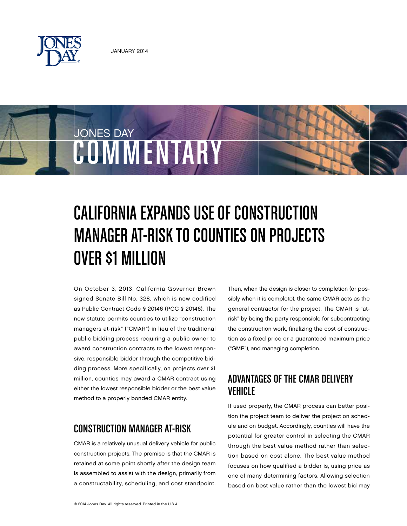

JONES DAY

# COMMENTARY

# California Expands Use of Construction Manager at-Risk to Counties on Projects Over \$1 Million

On October 3, 2013, California Governor Brown signed Senate Bill No. 328, which is now codified as Public Contract Code § 20146 (PCC § 20146). The new statute permits counties to utilize "construction managers at-risk" ("CMAR") in lieu of the traditional public bidding process requiring a public owner to award construction contracts to the lowest responsive, responsible bidder through the competitive bidding process. More specifically, on projects over \$1 million, counties may award a CMAR contract using either the lowest responsible bidder or the best value method to a properly bonded CMAR entity.

# Construction Manager at-Risk

CMAR is a relatively unusual delivery vehicle for public construction projects. The premise is that the CMAR is retained at some point shortly after the design team is assembled to assist with the design, primarily from a constructability, scheduling, and cost standpoint. Then, when the design is closer to completion (or possibly when it is complete), the same CMAR acts as the general contractor for the project. The CMAR is "atrisk" by being the party responsible for subcontracting the construction work, finalizing the cost of construction as a fixed price or a guaranteed maximum price ("GMP"), and managing completion.

#### Advantages of the CMAR Delivery Vehicle

If used properly, the CMAR process can better position the project team to deliver the project on schedule and on budget. Accordingly, counties will have the potential for greater control in selecting the CMAR through the best value method rather than selection based on cost alone. The best value method focuses on how qualified a bidder is, using price as one of many determining factors. Allowing selection based on best value rather than the lowest bid may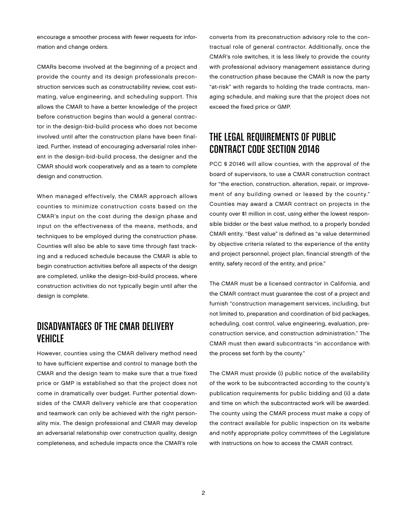encourage a smoother process with fewer requests for information and change orders.

CMARs become involved at the beginning of a project and provide the county and its design professionals preconstruction services such as constructability review, cost estimating, value engineering, and scheduling support. This allows the CMAR to have a better knowledge of the project before construction begins than would a general contractor in the design-bid-build process who does not become involved until after the construction plans have been finalized. Further, instead of encouraging adversarial roles inherent in the design-bid-build process, the designer and the CMAR should work cooperatively and as a team to complete design and construction.

When managed effectively, the CMAR approach allows counties to minimize construction costs based on the CMAR's input on the cost during the design phase and input on the effectiveness of the means, methods, and techniques to be employed during the construction phase. Counties will also be able to save time through fast tracking and a reduced schedule because the CMAR is able to begin construction activities before all aspects of the design are completed, unlike the design-bid-build process, where construction activities do not typically begin until after the design is complete.

### Disadvantages of the CMAR Delivery Vehicle

However, counties using the CMAR delivery method need to have sufficient expertise and control to manage both the CMAR and the design team to make sure that a true fixed price or GMP is established so that the project does not come in dramatically over budget. Further potential downsides of the CMAR delivery vehicle are that cooperation and teamwork can only be achieved with the right personality mix. The design professional and CMAR may develop an adversarial relationship over construction quality, design completeness, and schedule impacts once the CMAR's role

converts from its preconstruction advisory role to the contractual role of general contractor. Additionally, once the CMAR's role switches, it is less likely to provide the county with professional advisory management assistance during the construction phase because the CMAR is now the party "at-risk" with regards to holding the trade contracts, managing schedule, and making sure that the project does not exceed the fixed price or GMP.

# The Legal Requirements of Public Contract Code Section 20146

PCC § 20146 will allow counties, with the approval of the board of supervisors, to use a CMAR construction contract for "the erection, construction, alteration, repair, or improvement of any building owned or leased by the county." Counties may award a CMAR contract on projects in the county over \$1 million in cost, using either the lowest responsible bidder or the best value method, to a properly bonded CMAR entity. "Best value" is defined as "a value determined by objective criteria related to the experience of the entity and project personnel, project plan, financial strength of the entity, safety record of the entity, and price."

The CMAR must be a licensed contractor in California, and the CMAR contract must guarantee the cost of a project and furnish "construction management services, including, but not limited to, preparation and coordination of bid packages, scheduling, cost control, value engineering, evaluation, preconstruction service, and construction administration." The CMAR must then award subcontracts "in accordance with the process set forth by the county."

The CMAR must provide (i) public notice of the availability of the work to be subcontracted according to the county's publication requirements for public bidding and (ii) a date and time on which the subcontracted work will be awarded. The county using the CMAR process must make a copy of the contract available for public inspection on its website and notify appropriate policy committees of the Legislature with instructions on how to access the CMAR contract.